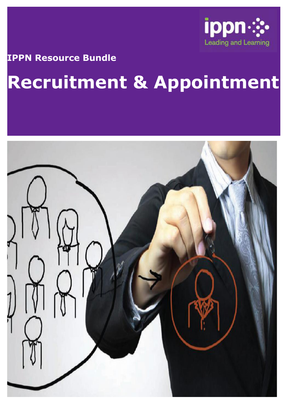

#### **IPPN Resource Bundle**

# **Recruitment & Appointment**

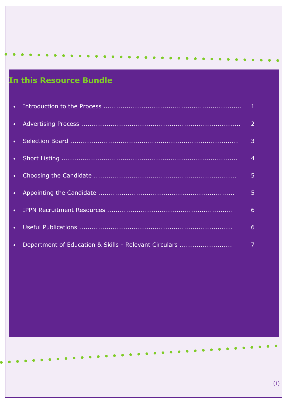## In this Resource Bundle

|             |                                                       | $\overline{4}$ |
|-------------|-------------------------------------------------------|----------------|
| $\bullet$ . |                                                       | 5              |
|             |                                                       | 5              |
|             |                                                       | 6              |
| $\bullet$ . |                                                       | 6              |
| $\bullet$ . | Department of Education & Skills - Relevant Circulars | 7              |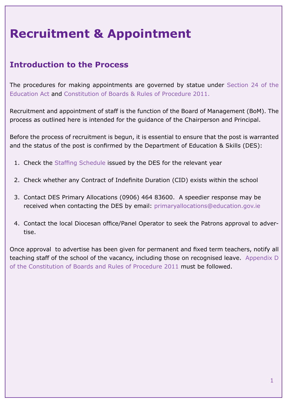# **Recruitment & Appointment**

#### **Introduction to the Process**

The procedures for making appointments are governed by statue under Section 24 of the Education Act and Constitution of Boards & Rules of Procedure 2011.

Recruitment and appointment of staff is the function of the Board of Management (BoM). The process as outlined here is intended for the guidance of the Chairperson and Principal.

Before the process of recruitment is begun, it is essential to ensure that the post is warranted and the status of the post is confirmed by the Department of Education & Skills (DES):

- 1. Check the Staffing Schedule issued by the DES for the relevant year
- 2. Check whether any Contract of Indefinite Duration (CID) exists within the school
- 3. Contact DES Primary Allocations (0906) 464 83600. A speedier response may be received when contacting the DES by email: primaryallocations@education.gov.ie
- 4. Contact the local Diocesan office/Panel Operator to seek the Patrons approval to advertise.

Once approval to advertise has been given for permanent and fixed term teachers, notify all teaching staff of the school of the vacancy, including those on recognised leave. Appendix D of the Constitution of Boards and Rules of Procedure 2011 must be followed.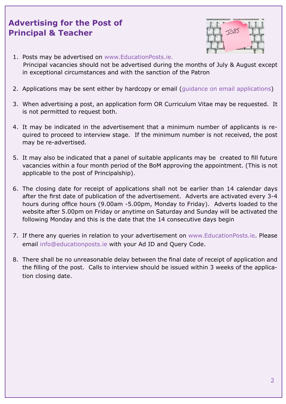#### **Advertising for the Post of Principal & Teacher**



- 1. Posts may be advertised on www.EducationPosts.ie. Principal vacancies should not be advertised during the months of July & August except in exceptional circumstances and with the sanction of the Patron
- 2. Applications may be sent either by hardcopy or email (guidance on email applications)
- 3. When advertising a post, an application form OR Curriculum Vitae may be requested. It is not permitted to request both.
- 4. It may be indicated in the advertisement that a minimum number of applicants is required to proceed to interview stage. If the minimum number is not received, the post may be re-advertised.
- 5. It may also be indicated that a panel of suitable applicants may be created to fill future vacancies within a four month period of the BoM approving the appointment. (This is not applicable to the post of Principalship).
- 6. The closing date for receipt of applications shall not be earlier than 14 calendar days after the first date of publication of the advertisement. Adverts are activated every 3-4 hours during office hours (9.00am -5.00pm, Monday to Friday). Adverts loaded to the website after 5.00pm on Friday or anytime on Saturday and Sunday will be activated the following Monday and this is the date that the 14 consecutive days begin
- 7. If there any queries in relation to your advertisement on www.EducationPosts.ie. Please email info@educationposts.ie with your Ad ID and Query Code.
- 8. There shall be no unreasonable delay between the final date of receipt of application and the filling of the post. Calls to interview should be issued within 3 weeks of the application closing date.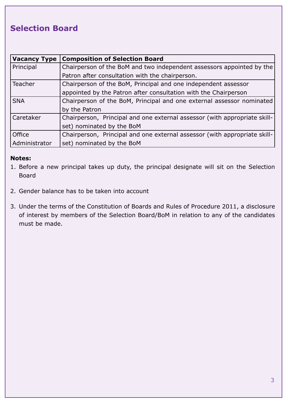#### **Selection Board**

| <b>Vacancy Type</b> | <b>Composition of Selection Board</b>                                     |
|---------------------|---------------------------------------------------------------------------|
| Principal           | Chairperson of the BoM and two independent assessors appointed by the     |
|                     | Patron after consultation with the chairperson.                           |
| Teacher             | Chairperson of the BoM, Principal and one independent assessor            |
|                     | appointed by the Patron after consultation with the Chairperson           |
| <b>SNA</b>          | Chairperson of the BoM, Principal and one external assessor nominated     |
|                     | by the Patron                                                             |
| Caretaker           | Chairperson, Principal and one external assessor (with appropriate skill- |
|                     | set) nominated by the BoM                                                 |
| Office              | Chairperson, Principal and one external assessor (with appropriate skill- |
| Administrator       | set) nominated by the BoM                                                 |

#### **Notes:**

- 1. Before a new principal takes up duty, the principal designate will sit on the Selection Board
- 2. Gender balance has to be taken into account
- 3. Under the terms of the Constitution of Boards and Rules of Procedure 2011, a disclosure of interest by members of the Selection Board/BoM in relation to any of the candidates must be made.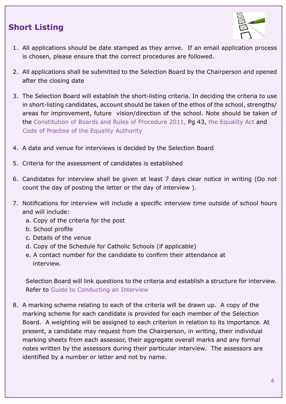#### **Short Listing**



- 1. All applications should be date stamped as they arrive. If an email application process is chosen, please ensure that the correct procedures are followed.
- 2. All applications shall be submitted to the Selection Board by the Chairperson and opened after the closing date
- 3. The Selection Board will establish the short-listing criteria. In deciding the criteria to use in short-listing candidates, account should be taken of the ethos of the school, strengths/ areas for improvement, future vision/direction of the school. Note should be taken of the Constitution of Boards and Rules of Procedure 2011, Pg 43, the Equality Act and Code of Practise of the Equality Authority
- 4. A date and venue for interviews is decided by the Selection Board
- 5. Criteria for the assessment of candidates is established
- 6. Candidates for interview shall be given at least 7 days clear notice in writing (Do not count the day of posting the letter or the day of interview ).
- 7. Notifications for interview will include a specific interview time outside of school hours and will include:
	- a. Copy of the criteria for the post
	- b. School profile
	- c. Details of the venue
	- d. Copy of the Schedule for Catholic Schools (if applicable)
	- e. A contact number for the candidate to confirm their attendance at interview.

Selection Board will link questions to the criteria and establish a structure for interview. Refer to Guide to Conducting an Interview

8. A marking scheme relating to each of the criteria will be drawn up. A copy of the marking scheme for each candidate is provided for each member of the Selection Board. A weighting will be assigned to each criterion in relation to its importance. At present, a candidate may request from the Chairperson, in writing, their individual marking sheets from each assessor, their aggregate overall marks and any formal notes written by the assessors during their particular interview. The assessors are identified by a number or letter and not by name.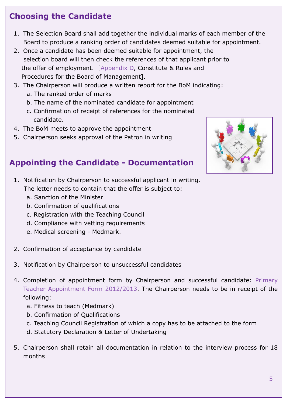- 1. The Selection Board shall add together the individual marks of each member of the Board to produce a ranking order of candidates deemed suitable for appointment.
- 2. Once a candidate has been deemed suitable for appointment, the selection board will then check the references of that applicant prior to the offer of employment. [Appendix D, Constitute & Rules and Procedures for the Board of Management].
- 3. The Chairperson will produce a written report for the BoM indicating:
	- a. The ranked order of marks
	- b. The name of the nominated candidate for appointment
	- c. Confirmation of receipt of references for the nominated candidate.
- 4. The BoM meets to approve the appointment
- 5. Chairperson seeks approval of the Patron in writing

### **Appointing the Candidate - Documentation**

1. Notification by Chairperson to successful applicant in writing.

The letter needs to contain that the offer is subject to:

- a. Sanction of the Minister
- b. Confirmation of qualifications
- c. Registration with the Teaching Council
- d. Compliance with vetting requirements
- e. Medical screening Medmark.
- 2. Confirmation of acceptance by candidate
- 3. Notification by Chairperson to unsuccessful candidates
- 4. Completion of appointment form by Chairperson and successful candidate: Primary Teacher Appointment Form 2012/2013. The Chairperson needs to be in receipt of the following:
	- a. Fitness to teach (Medmark)
	- b. Confirmation of Qualifications
	- c. Teaching Council Registration of which a copy has to be attached to the form
	- d. Statutory Declaration & Letter of Undertaking
- 5. Chairperson shall retain all documentation in relation to the interview process for 18 months

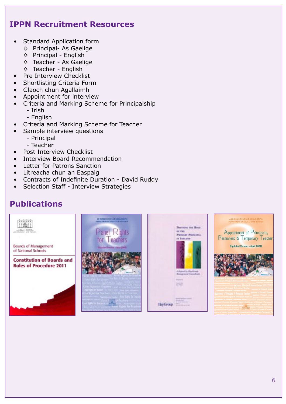#### **IPPN Recruitment Resources**

- Standard Application form
	- ◊ Principal- As Gaelige
	- ◊ Principal English
	- ◊ Teacher As Gaelige
	- ◊ Teacher English
- Pre Interview Checklist
- Shortlisting Criteria Form
- Glaoch chun Agallaimh
- Appointment for interview
- Criteria and Marking Scheme for Principalship
	- Irish
	- English
- Criteria and Marking Scheme for Teacher
	- Sample interview questions
		- Principal
		- Teacher
- Post Interview Checklist
- Interview Board Recommendation
- Letter for Patrons Sanction
- Litreacha chun an Easpaig
- Contracts of Indefinite Duration David Ruddy
- Selection Staff Interview Strategies

#### **Publications**